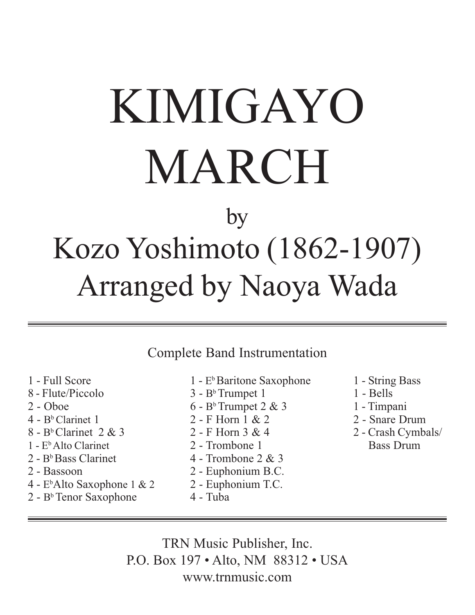# KIMIGAYO MARCH

### by Kozo Yoshimoto (1862-1907) Arranged by Naoya Wada

Complete Band Instrumentation

- 1 Full Score
- 8 Flute/Piccolo
- 2 Oboe
- $4 B<sup>b</sup>$  Clarinet 1
- $8 B<sup>b</sup>$  Clarinet 2 & 3
- 1 EbAlto Clarinet
- $2 B<sup>b</sup>$  Bass Clarinet
- 2 Bassoon
- 4 Eb Alto Saxophone 1 & 2
- $2 B<sup>b</sup>$  Tenor Saxophone
- 1 E<sup>b</sup>Baritone Saxophone
- $3 B<sup>b</sup>$  Trumpet 1
- $6 B<sup>b</sup>$  Trumpet 2 & 3
- 2 F Horn 1 & 2
- 2 F Horn 3 & 4
- 2 Trombone 1
- 4 Trombone 2 & 3
- 2 Euphonium B.C.
- 2 Euphonium T.C.
- 4 Tuba
- 1 String Bass
- 1 Bells
- 1 Timpani
- 2 Snare Drum
- 2 Crash Cymbals/ Bass Drum

TRN Music Publisher, Inc. P.O. Box 197 • Alto, NM 88312 • USA www.trnmusic.com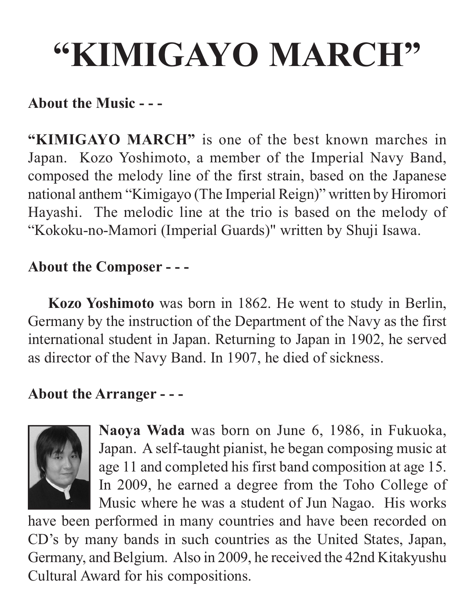## **"KIMIGAYO MARCH"**

#### **About the Music - - -**

**"KIMIGAYO MARCH"** is one of the best known marches in Japan. Kozo Yoshimoto, a member of the Imperial Navy Band, composed the melody line of the first strain, based on the Japanese national anthem "Kimigayo (The Imperial Reign)" written by Hiromori Hayashi. The melodic line at the trio is based on the melody of "Kokoku-no-Mamori (Imperial Guards)" written by Shuji Isawa.

#### **About the Composer - - -**

**Kozo Yoshimoto** was born in 1862. He went to study in Berlin, Germany by the instruction of the Department of the Navy as the first international student in Japan. Returning to Japan in 1902, he served as director of the Navy Band. In 1907, he died of sickness.

#### **About the Arranger - - -**



**Naoya Wada** was born on June 6, 1986, in Fukuoka, Japan. A self-taught pianist, he began composing music at age 11 and completed his first band composition at age 15. In 2009, he earned a degree from the Toho College of Music where he was a student of Jun Nagao. His works

have been performed in many countries and have been recorded on CD's by many bands in such countries as the United States, Japan, Germany, and Belgium. Also in 2009, he received the 42nd Kitakyushu Cultural Award for his compositions.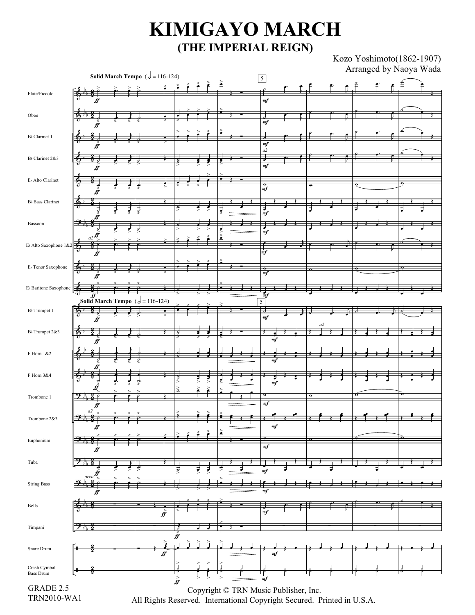#### **KIMIGAYO MARCH (THE IMPERIAL REIGN)**

Kozo Yoshimoto(1862-1907) Arranged by Naoya Wada

| <b>Solid March Tempo</b> ( $d = 116-124$ )      |                                 |    |                                                                         |    |  |                      |   |  | $\overline{5}$                        |                      |  | $1$ $\text{m}$ $\text{m}$ $\text{m}$ $\text{m}$ $\text{m}$ $\text{m}$ $\text{m}$ $\text{m}$ $\text{m}$ $\text{m}$ $\text{m}$ |          |  |
|-------------------------------------------------|---------------------------------|----|-------------------------------------------------------------------------|----|--|----------------------|---|--|---------------------------------------|----------------------|--|------------------------------------------------------------------------------------------------------------------------------|----------|--|
| Flute/Piccolo                                   |                                 |    |                                                                         |    |  |                      |   |  |                                       |                      |  |                                                                                                                              |          |  |
|                                                 |                                 |    |                                                                         |    |  |                      |   |  |                                       |                      |  |                                                                                                                              |          |  |
|                                                 | ff                              |    |                                                                         |    |  |                      |   |  | m f                                   |                      |  |                                                                                                                              |          |  |
| $\rm Oboe$                                      |                                 |    |                                                                         |    |  |                      |   |  |                                       |                      |  |                                                                                                                              |          |  |
|                                                 |                                 |    |                                                                         |    |  |                      |   |  | mf                                    |                      |  |                                                                                                                              |          |  |
| B <sub>b</sub> Clarinet 1                       |                                 |    |                                                                         |    |  |                      |   |  |                                       |                      |  |                                                                                                                              |          |  |
|                                                 |                                 |    |                                                                         |    |  |                      |   |  | m f                                   |                      |  |                                                                                                                              |          |  |
| B <sub>b</sub> Clarinet 2&3                     |                                 |    |                                                                         |    |  |                      |   |  | a2                                    |                      |  |                                                                                                                              |          |  |
|                                                 |                                 |    |                                                                         |    |  |                      |   |  | m f                                   |                      |  |                                                                                                                              |          |  |
|                                                 | ff                              |    |                                                                         |    |  |                      |   |  |                                       |                      |  |                                                                                                                              |          |  |
| E» Alto Clarinet                                |                                 |    |                                                                         |    |  |                      |   |  |                                       | $\overline{\bullet}$ |  |                                                                                                                              |          |  |
|                                                 |                                 | ड़ |                                                                         |    |  |                      |   |  | $rac{\sigma}{m}$                      |                      |  |                                                                                                                              |          |  |
| B» Bass Clarinet                                | 65                              |    |                                                                         |    |  |                      |   |  |                                       |                      |  |                                                                                                                              |          |  |
|                                                 |                                 | ₹  | ţ                                                                       |    |  |                      |   |  | ₹                                     |                      |  |                                                                                                                              |          |  |
|                                                 |                                 |    |                                                                         |    |  |                      |   |  | m f                                   |                      |  |                                                                                                                              |          |  |
| Bassoon                                         | <u>y</u>                        |    |                                                                         |    |  |                      |   |  |                                       |                      |  |                                                                                                                              |          |  |
|                                                 |                                 |    |                                                                         |    |  |                      |   |  | m f                                   |                      |  |                                                                                                                              |          |  |
| E <sub>b</sub> Alto Saxophone 1&2               |                                 |    |                                                                         |    |  |                      |   |  |                                       |                      |  |                                                                                                                              |          |  |
|                                                 |                                 |    |                                                                         |    |  |                      |   |  | m f                                   |                      |  |                                                                                                                              |          |  |
| $\mathbb{E}\flat$ Tenor Saxophone               |                                 |    |                                                                         |    |  |                      |   |  |                                       |                      |  |                                                                                                                              | $\sigma$ |  |
|                                                 |                                 |    |                                                                         |    |  |                      |   |  | mf                                    |                      |  |                                                                                                                              |          |  |
|                                                 |                                 |    |                                                                         |    |  |                      |   |  |                                       |                      |  |                                                                                                                              |          |  |
| $\mathrm{E}\!\triangleright$ Baritone Saxophone | ⊕                               |    |                                                                         |    |  |                      |   |  |                                       |                      |  |                                                                                                                              |          |  |
|                                                 |                                 |    | Solid March Tempo ( $d = 116 - 124$ )                                   |    |  |                      |   |  | m <sub>j</sub><br>5                   |                      |  |                                                                                                                              |          |  |
| B <sup>b</sup> Trumpet 1                        | $\Phi^{\flat}$                  |    |                                                                         |    |  |                      |   |  |                                       |                      |  |                                                                                                                              |          |  |
|                                                 |                                 |    |                                                                         |    |  |                      |   |  | mf                                    |                      |  |                                                                                                                              |          |  |
| B <sub>b</sub> Trumpet 2&3                      |                                 |    |                                                                         |    |  |                      |   |  |                                       | a2                   |  |                                                                                                                              |          |  |
|                                                 | 6                               |    |                                                                         |    |  |                      |   |  | m f                                   |                      |  |                                                                                                                              |          |  |
|                                                 |                                 |    |                                                                         |    |  |                      |   |  |                                       |                      |  |                                                                                                                              |          |  |
| F Horn 1&2                                      |                                 |    |                                                                         |    |  |                      |   |  |                                       |                      |  |                                                                                                                              |          |  |
|                                                 |                                 |    |                                                                         |    |  |                      |   |  | mf                                    |                      |  |                                                                                                                              |          |  |
| F Horn 3&4                                      | ⊕                               |    |                                                                         |    |  |                      |   |  |                                       |                      |  |                                                                                                                              |          |  |
|                                                 |                                 |    | ಕ                                                                       |    |  |                      |   |  | m f                                   |                      |  |                                                                                                                              |          |  |
| Trombone 1                                      |                                 |    |                                                                         |    |  |                      |   |  | $\bullet$                             | $\mathbf o$          |  |                                                                                                                              | ō        |  |
|                                                 | ジア                              |    |                                                                         |    |  |                      |   |  | m f                                   |                      |  |                                                                                                                              |          |  |
|                                                 | fJ<br>a2                        |    |                                                                         |    |  |                      |   |  |                                       |                      |  |                                                                                                                              |          |  |
| Trombone 2&3                                    | <u> 4</u>                       | e  |                                                                         |    |  |                      |   |  |                                       |                      |  |                                                                                                                              |          |  |
|                                                 | ₩                               |    |                                                                         |    |  |                      | é |  | m f                                   |                      |  |                                                                                                                              |          |  |
| Euphonium                                       | $2 + 3$                         |    |                                                                         |    |  |                      |   |  | ۰                                     | $\mathbf{o}$         |  |                                                                                                                              | o        |  |
|                                                 | ₩                               |    |                                                                         |    |  |                      |   |  | m f                                   |                      |  |                                                                                                                              |          |  |
|                                                 |                                 |    |                                                                         |    |  |                      |   |  |                                       |                      |  |                                                                                                                              |          |  |
| Tuba                                            | $\mathcal{P}_{\mathcal{P}_{1}}$ |    |                                                                         |    |  |                      |   |  |                                       |                      |  |                                                                                                                              |          |  |
|                                                 | arco'                           |    |                                                                         |    |  |                      |   |  | m f                                   |                      |  |                                                                                                                              |          |  |
| <b>String Bass</b>                              | $9 + 3$                         |    |                                                                         |    |  |                      |   |  |                                       |                      |  |                                                                                                                              |          |  |
|                                                 |                                 |    |                                                                         |    |  |                      |   |  | m f                                   |                      |  |                                                                                                                              |          |  |
| Bells                                           |                                 |    |                                                                         |    |  |                      |   |  |                                       |                      |  |                                                                                                                              |          |  |
|                                                 |                                 |    | ff                                                                      |    |  |                      |   |  | mf                                    |                      |  |                                                                                                                              |          |  |
| Timpani                                         |                                 |    |                                                                         |    |  |                      |   |  |                                       |                      |  |                                                                                                                              |          |  |
|                                                 | $9 + 1$                         |    |                                                                         |    |  |                      |   |  |                                       |                      |  |                                                                                                                              |          |  |
|                                                 |                                 |    |                                                                         | ff |  |                      |   |  |                                       |                      |  |                                                                                                                              |          |  |
| Snare Drum                                      | #                               |    | $\geq$                                                                  |    |  | $\tilde{}_{\bar{}}}$ |   |  |                                       |                      |  |                                                                                                                              |          |  |
|                                                 |                                 |    | $f\hspace{-0.1cm}f$                                                     |    |  |                      |   |  | m f                                   |                      |  |                                                                                                                              |          |  |
| Crash Cymbal<br><b>Bass Drum</b>                |                                 |    |                                                                         |    |  |                      |   |  |                                       |                      |  |                                                                                                                              |          |  |
|                                                 | ╫                               |    |                                                                         |    |  |                      |   |  |                                       |                      |  |                                                                                                                              |          |  |
|                                                 |                                 |    |                                                                         | ℋ  |  |                      |   |  | mf                                    |                      |  |                                                                                                                              |          |  |
| GRADE 2.5                                       |                                 |    |                                                                         |    |  |                      |   |  | Copyright © TRN Music Publisher, Inc. |                      |  |                                                                                                                              |          |  |
| TRN2010-WA1                                     |                                 |    | All Rights Reserved. International Copyright Secured. Printed in U.S.A. |    |  |                      |   |  |                                       |                      |  |                                                                                                                              |          |  |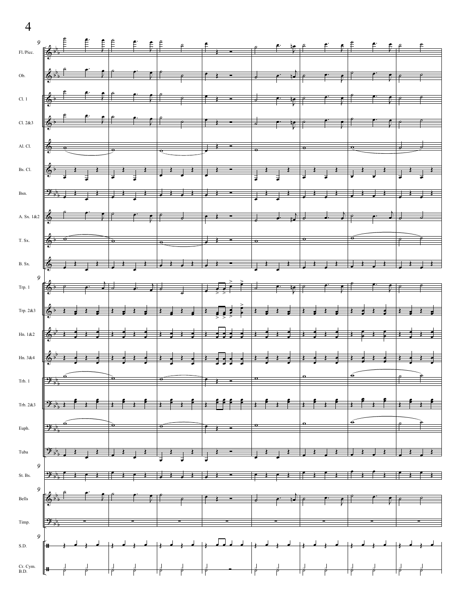$\overline{4}$